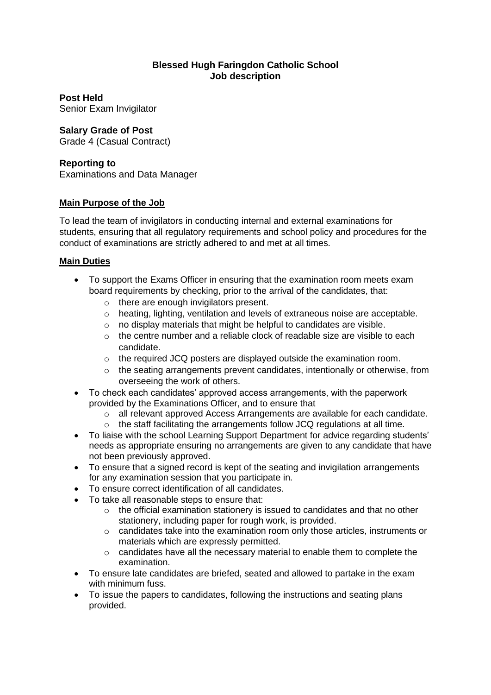#### **Blessed Hugh Faringdon Catholic School Job description**

**Post Held** 

Senior Exam Invigilator

# **Salary Grade of Post**

Grade 4 (Casual Contract)

## **Reporting to**

Examinations and Data Manager

## **Main Purpose of the Job**

To lead the team of invigilators in conducting internal and external examinations for students, ensuring that all regulatory requirements and school policy and procedures for the conduct of examinations are strictly adhered to and met at all times.

### **Main Duties**

- To support the Exams Officer in ensuring that the examination room meets exam board requirements by checking, prior to the arrival of the candidates, that:
	- o there are enough invigilators present.
	- o heating, lighting, ventilation and levels of extraneous noise are acceptable.
	- o no display materials that might be helpful to candidates are visible.
	- $\circ$  the centre number and a reliable clock of readable size are visible to each candidate.
	- o the required JCQ posters are displayed outside the examination room.
	- $\circ$  the seating arrangements prevent candidates, intentionally or otherwise, from overseeing the work of others.
- To check each candidates' approved access arrangements, with the paperwork provided by the Examinations Officer, and to ensure that
	- o all relevant approved Access Arrangements are available for each candidate.
	- $\circ$  the staff facilitating the arrangements follow JCQ regulations at all time.
- To liaise with the school Learning Support Department for advice regarding students' needs as appropriate ensuring no arrangements are given to any candidate that have not been previously approved.
- To ensure that a signed record is kept of the seating and invigilation arrangements for any examination session that you participate in.
- To ensure correct identification of all candidates.
- To take all reasonable steps to ensure that:
	- o the official examination stationery is issued to candidates and that no other stationery, including paper for rough work, is provided.
	- $\circ$  candidates take into the examination room only those articles, instruments or materials which are expressly permitted.
	- o candidates have all the necessary material to enable them to complete the examination.
- To ensure late candidates are briefed, seated and allowed to partake in the exam with minimum fuss.
- To issue the papers to candidates, following the instructions and seating plans provided.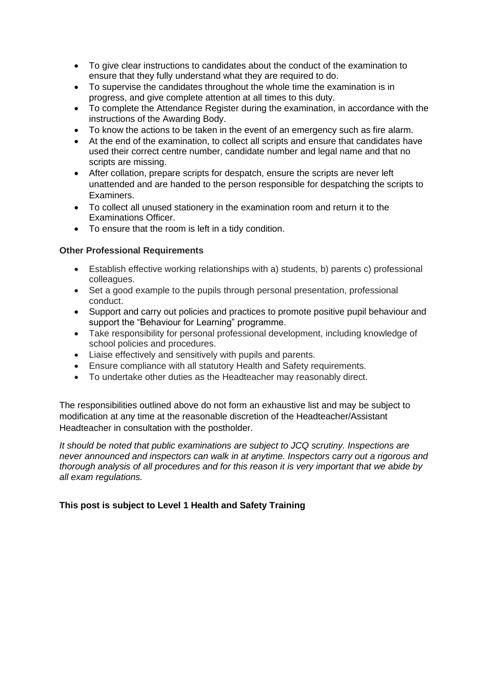- To give clear instructions to candidates about the conduct of the examination to ensure that they fully understand what they are required to do.
- To supervise the candidates throughout the whole time the examination is in progress, and give complete attention at all times to this duty.
- To complete the Attendance Register during the examination, in accordance with the instructions of the Awarding Body.
- To know the actions to be taken in the event of an emergency such as fire alarm.
- At the end of the examination, to collect all scripts and ensure that candidates have used their correct centre number, candidate number and legal name and that no scripts are missing.
- After collation, prepare scripts for despatch, ensure the scripts are never left unattended and are handed to the person responsible for despatching the scripts to Examiners.
- To collect all unused stationery in the examination room and return it to the Examinations Officer.
- To ensure that the room is left in a tidy condition.

#### **Other Professional Requirements**

- Establish effective working relationships with a) students, b) parents c) professional colleagues.
- Set a good example to the pupils through personal presentation, professional conduct.
- Support and carry out policies and practices to promote positive pupil behaviour and support the "Behaviour for Learning" programme.
- Take responsibility for personal professional development, including knowledge of school policies and procedures.
- Liaise effectively and sensitively with pupils and parents.
- Ensure compliance with all statutory Health and Safety requirements.
- To undertake other duties as the Headteacher may reasonably direct.

The responsibilities outlined above do not form an exhaustive list and may be subject to modification at any time at the reasonable discretion of the Headteacher/Assistant Headteacher in consultation with the postholder.

*It should be noted that public examinations are subject to JCQ scrutiny. Inspections are never announced and inspectors can walk in at anytime. Inspectors carry out a rigorous and thorough analysis of all procedures and for this reason it is very important that we abide by all exam regulations.* 

### **This post is subject to Level 1 Health and Safety Training**